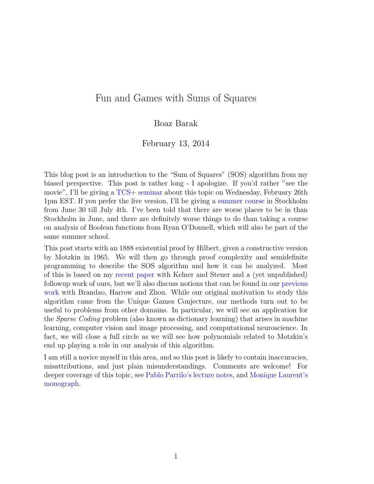## Fun and Games with Sums of Squares

#### Boaz Barak

#### February 13, 2014

This blog post is an introduction to the "Sum of Squares" (SOS) algorithm from my biased perspective. This post is rather long - I apologize. If you'd rather "see the movie", I'll be giving a [TCS+ seminar](https://sites.google.com/site/plustcs/) about this topic on Wednesday, February 26th 1pm EST. If you prefer the live version, I'll be giving a [summer course](http://s3cs.csc.kth.se/) in Stockholm from June 30 till July 4th. I've been told that there are worse places to be in than Stockholm in June, and there are definitely worse things to do than taking a course on analysis of Boolean functions from Ryan O'Donnell, which will also be part of the same summer school.

This post starts with an 1888 existential proof by Hilbert, given a constructive version by Motzkin in 1965. We will then go through proof complexity and semidefinite programming to describe the SOS algorithm and how it can be analyzed. Most of this is based on my [recent paper](http://arxiv.org/abs/1312.6652) with Kelner and Steuer and a (yet unpublished) followup work of ours, but we'll also discuss notions that can be found in our [previous](http://arxiv.org/abs/1205.4484) [work](http://arxiv.org/abs/1205.4484) with Brandao, Harrow and Zhou. While our original motivation to study this algorithm came from the Unique Games Conjecture, our methods turn out to be useful to problems from other domains. In particular, we will see an application for the Sparse Coding problem (also known as dictionary learning) that arises in machine learning, computer vision and image processing, and computational neuroscience. In fact, we will close a full circle as we will see how polynomials related to Motzkin's end up playing a role in our analysis of this algorithm.

I am still a novice myself in this area, and so this post is likely to contain inaccuracies, misattributions, and just plain misunderstandings. Comments are welcome! For deeper coverage of this topic, see [Pablo Parrilo's lecture notes,](http://stellar.mit.edu/S/course/6/sp12/6.256/materials.html) and [Monique Laurent's](http://homepages.cwi.nl/~monique/files/moment-ima-update-new.pdf) [monograph.](http://homepages.cwi.nl/~monique/files/moment-ima-update-new.pdf)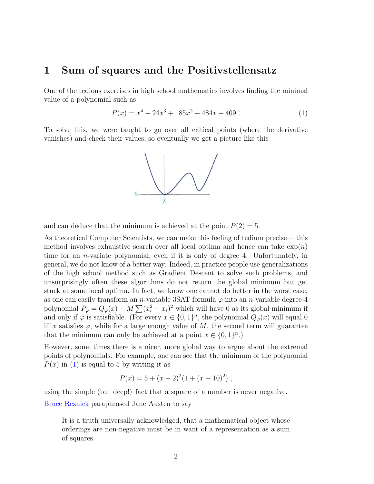### 1 Sum of squares and the Positivstellensatz

One of the tedious exercises in high school mathematics involves finding the minimal value of a polynomial such as

<span id="page-1-0"></span>
$$
P(x) = x4 - 24x3 + 185x2 - 484x + 409.
$$
 (1)

To solve this, we were taught to go over all critical points (where the derivative vanishes) and check their values, so eventually we get a picture like this



and can deduce that the minimum is achieved at the point  $P(2) = 5$ .

As theoretical Computer Scientists, we can make this feeling of tedium precise— this method involves exhaustive search over all local optima and hence can take  $\exp(n)$ time for an n-variate polynomial, even if it is only of degree 4. Unfortunately, in general, we do not know of a better way. Indeed, in practice people use generalizations of the high school method such as Gradient Descent to solve such problems, and unsurprisingly often these algorithms do not return the global minimum but get stuck at some local optima. In fact, we know one cannot do better in the worst case, as one can easily transform an *n*-variable 3SAT formula  $\varphi$  into an *n*-variable degree-4 polynomial  $P_{\varphi} = Q_{\varphi}(x) + M \sum (x_i^2 - x_i)^2$  which will have 0 as its global minimum if and only if  $\varphi$  is satisfiable. (For every  $x \in \{0,1\}^n$ , the polynomial  $Q_{\varphi}(x)$  will equal 0 iff x satisfies  $\varphi$ , while for a large enough value of M, the second term will guarantee that the minimum can only be achieved at a point  $x \in \{0,1\}^n$ .

However, some times there is a nicer, more global way to argue about the extremal points of polynomials. For example, one can see that the minimum of the polynomial  $P(x)$  in [\(1\)](#page-1-0) is equal to 5 by writing it as

$$
P(x) = 5 + (x - 2)^{2}(1 + (x - 10)^{2}),
$$

using the simple (but deep!) fact that a square of a number is never negative. [Bruce Reznick](https://www.math.ucdavis.edu/~deloera/MISC/BIBLIOTECA/trunk/ReznickBruce/Reznick9.pdf) paraphrased Jane Austen to say

It is a truth universally acknowledged, that a mathematical object whose orderings are non-negative must be in want of a representation as a sum of squares.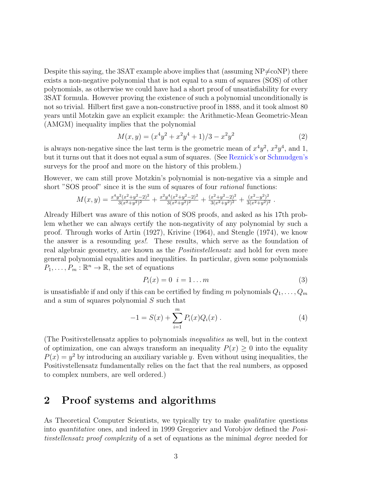Despite this saying, the 3SAT example above implies that (assuming  $NP \neq coNP$ ) there exists a non-negative polynomial that is not equal to a sum of squares (SOS) of other polynomials, as otherwise we could have had a short proof of unsatisfiability for every 3SAT formula. However proving the existence of such a polynomial unconditionally is not so trivial. Hilbert first gave a non-constructive proof in 1888, and it took almost 80 years until Motzkin gave an explicit example: the Arithmetic-Mean Geometric-Mean (AMGM) inequality implies that the polynomial

$$
M(x,y) = (x^4y^2 + x^2y^4 + 1)/3 - x^2y^2
$$
\n(2)

is always non-negative since the last term is the geometric mean of  $x^4y^2$ ,  $x^2y^4$ , and 1, but it turns out that it does not equal a sum of squares. (See [Reznick's](https://www.math.ucdavis.edu/~deloera/MISC/BIBLIOTECA/trunk/ReznickBruce/Reznick9.pdf) or [Schmudgen's](http://www.math.uiuc.edu/documenta/vol-ismp/61_schmuedgen-konrad.pdf) surveys for the proof and more on the history of this problem.)

However, we cam still prove Motzkin's polynomial is non-negative via a simple and short "SOS proof" since it is the sum of squares of four *rational* functions:

$$
M(x,y) = \frac{x^4 y^2 (x^2 + y^2 - 2)^2}{3(x^2 + y^2)^2} + \frac{x^2 y^4 (x^2 + y^2 - 2)^2}{3(x^2 + y^2)^2} + \frac{(x^2 + y^2 - 2)^2}{3(x^2 + y^2)^2} + \frac{(x^2 - y^2)^2}{3(x^2 + y^2)^2}.
$$

Already Hilbert was aware of this notion of SOS proofs, and asked as his 17th problem whether we can always certify the non-negativity of any polynomial by such a proof. Through works of Artin (1927), Krivine (1964), and Stengle (1974), we know the answer is a resounding *yes!*. These results, which serve as the foundation of real algebraic geometry, are known as the *Positivstellensatz* and hold for even more general polynomial equalities and inequalities. In particular, given some polynomials  $P_1, \ldots, P_m : \mathbb{R}^n \to \mathbb{R}$ , the set of equations

<span id="page-2-1"></span><span id="page-2-0"></span>
$$
P_i(x) = 0 \quad i = 1 \dots m \tag{3}
$$

is unsatisfiable if and only if this can be certified by finding m polynomials  $Q_1, \ldots, Q_m$ and a sum of squares polynomial S such that

$$
-1 = S(x) + \sum_{i=1}^{m} P_i(x) Q_i(x) . \tag{4}
$$

(The Positivstellensatz applies to polynomials inequalities as well, but in the context of optimization, one can always transform an inequality  $P(x) \geq 0$  into the equality  $P(x) = y^2$  by introducing an auxiliary variable y. Even without using inequalities, the Positivstellensatz fundamentally relies on the fact that the real numbers, as opposed to complex numbers, are well ordered.)

# 2 Proof systems and algorithms

As Theoretical Computer Scientists, we typically try to make *qualitative* questions into quantitative ones, and indeed in 1999 Gregoriev and Vorobjov defined the Positivstellensatz proof complexity of a set of equations as the minimal degree needed for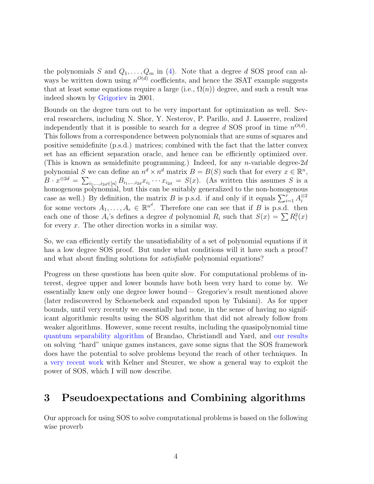the polynomials S and  $Q_1, \ldots, Q_m$  in [\(4\)](#page-2-0). Note that a degree d SOS proof can always be written down using  $n^{O(d)}$  coefficients, and hence the 3SAT example suggests that at least some equations require a large (i.e.,  $\Omega(n)$ ) degree, and such a result was indeed shown by [Grigoriev](http://citeseerx.ist.psu.edu/viewdoc/download;jsessionid=EDF46EEAF1539CE3E995F6240E794C7E?doi=10.1.1.36.2629&rep=rep1&type=pdf) in 2001.

Bounds on the degree turn out to be very important for optimization as well. Several researchers, including N. Shor, Y. Nesterov, P. Parillo, and J. Lasserre, realized independently that it is possible to search for a degree d SOS proof in time  $n^{O(d)}$ . This follows from a correspondence between polynomials that are sums of squares and positive semidefinite (p.s.d.) matrices; combined with the fact that the latter convex set has an efficient separation oracle, and hence can be efficiently optimized over. (This is known as semidefinite programming.) Indeed, for any *n*-variable degree- $2d$ polynomial S we can define an  $n^d \times n^d$  matrix  $B = B(S)$  such that for every  $x \in \mathbb{R}^n$ ,  $B \cdot x^{\otimes 2d} = \sum_{i_1,\dots,i_{2d} \in [n]} B_{i_1,\dots,i_{2d}} x_{i_1} \cdots x_{i_{2d}} = S(x)$ . (As written this assumes S is a homogenous polynomial, but this can be suitably generalized to the non-homogenous case as well.) By definition, the matrix B is p.s.d. if and only if it equals  $\sum_{i=1}^{r} A_i^{\otimes 2}$ i for some vectors  $A_1, \ldots, A_r \in \mathbb{R}^{n^d}$ . Therefore one can see that if B is p.s.d. then each one of those  $A_i$ 's defines a degree d polynomial  $R_i$  such that  $S(x) = \sum R_i^2(x)$ for every x. The other direction works in a similar way.

So, we can efficiently certify the unsatisfiability of a set of polynomial equations if it has a low degree SOS proof. But under what conditions will it have such a proof? and what about finding solutions for satisfiable polynomial equations?

Progress on these questions has been quite slow. For computational problems of interest, degree upper and lower bounds have both been very hard to come by. We essentially knew only one degree lower bound— Gregoriev's result mentioned above (later rediscovered by Schoenebeck and expanded upon by Tulsiani). As for upper bounds, until very recently we essentially had none, in the sense of having no significant algorithmic results using the SOS algorithm that did not already follow from weaker algorithms. However, some recent results, including the quasipolynomial time [quantum separability algorithm](http://arxiv.org/abs/1011.2751) of Brandao, Christiandl and Yard, and [our results](http://arxiv.org/abs/1205.4484) on solving "hard" unique games instances, gave some signs that the SOS framework does have the potential to solve problems beyond the reach of other techniques. In a [very recent work](http://arxiv.org/abs/1312.6652) with Kelner and Steurer, we show a general way to exploit the power of SOS, which I will now describe.

## 3 Pseudoexpectations and Combining algorithms

Our approach for using SOS to solve computational problems is based on the following wise proverb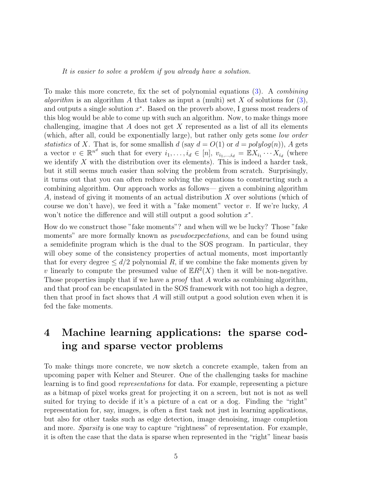It is easier to solve a problem if you already have a solution.

To make this more concrete, fix the set of polynomial equations [\(3\)](#page-2-1). A combining algorithm is an algorithm A that takes as input a (multi) set X of solutions for  $(3)$ , and outputs a single solution  $x^*$ . Based on the proverb above, I guess most readers of this blog would be able to come up with such an algorithm. Now, to make things more challenging, imagine that A does not get X represented as a list of all its elements (which, after all, could be exponentially large), but rather only gets some low order statistics of X. That is, for some smallish d (say  $d = O(1)$  or  $d = polylog(n)$ ), A gets a vector  $v \in \mathbb{R}^{n^d}$  such that for every  $i_1, \ldots, i_d \in [n], v_{i_1, \ldots, i_d} = \mathbb{E} X_{i_1} \cdots X_{i_d}$  (where we identify  $X$  with the distribution over its elements). This is indeed a harder task, but it still seems much easier than solving the problem from scratch. Surprisingly, it turns out that you can often reduce solving the equations to constructing such a combining algorithm. Our approach works as follows— given a combining algorithm A, instead of giving it moments of an actual distribution X over solutions (which of course we don't have), we feed it with a "fake moment" vector v. If we're lucky,  $A$ won't notice the difference and will still output a good solution  $x^*$ .

How do we construct those "fake moments"? and when will we be lucky? Those "fake moments" are more formally known as *pseudoexpectations*, and can be found using a semidefinite program which is the dual to the SOS program. In particular, they will obey some of the consistency properties of actual moments, most importantly that for every degree  $\leq d/2$  polynomial R, if we combine the fake moments given by v linearly to compute the presumed value of  $\mathbb{E}R^2(X)$  then it will be non-negative. Those properties imply that if we have a *proof* that A works as combining algorithm, and that proof can be encapsulated in the SOS framework with not too high a degree, then that proof in fact shows that  $A$  will still output a good solution even when it is fed the fake moments.

# 4 Machine learning applications: the sparse coding and sparse vector problems

To make things more concrete, we now sketch a concrete example, taken from an upcoming paper with Kelner and Steurer. One of the challenging tasks for machine learning is to find good representations for data. For example, representing a picture as a bitmap of pixel works great for projecting it on a screen, but not is not as well suited for trying to decide if it's a picture of a cat or a dog. Finding the "right" representation for, say, images, is often a first task not just in learning applications, but also for other tasks such as edge detection, image denoising, image completion and more. Sparsity is one way to capture "rightness" of representation. For example, it is often the case that the data is sparse when represented in the "right" linear basis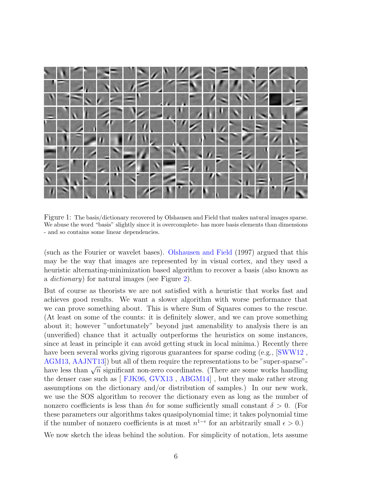

Figure 1: The basis/dictionary recovered by Olshausen and Field that makes natural images sparse. We abuse the word "basis" slightly since it is overcomplete- has more basis elements than dimensions - and so contains some linear dependencies.

(such as the Fourier or wavelet bases). [Olshausen and Field](http://www.chaos.gwdg.de/~michael/CNS_course_2004/papers_max/OlshausenField1997.pdf) (1997) argued that this may be the way that images are represented by in visual cortex, and they used a heuristic alternating-minimization based algorithm to recover a basis (also known as a dictionary) for natural images (see Figure [2\)](#page-6-0).

But of course as theorists we are not satisfied with a heuristic that works fast and achieves good results. We want a slower algorithm with worse performance that we can prove something about. This is where Sum of Squares comes to the rescue. (At least on some of the counts: it is definitely slower, and we can prove something about it; however "unfortunately" beyond just amenability to analysis there is an (unverified) chance that it actually outperforms the heuristics on some instances, since at least in principle it can avoid getting stuck in local minima.) Recently there have been several works giving rigorous guarantees for sparse coding (e.g.,  $\text{SWW12}$ , [AGM13,](http://arxiv.org/abs/1308.6273) [AAJNT13\]](http://arxiv.org/abs/1310.7991)) but all of them require the representations to be "super-sparse"-  $\frac{1}{2}$  have less than  $\sqrt{n}$  significant non-zero coordinates. (There are some works handling the denser case such as [ [FJK96,](http://math.cmu.edu/~af1p/Texfiles/trans.pdf) [GVX13](http://arxiv.org/abs/1306.5825) , [ABGM14\]](http://arxiv.org/abs/1401.0579) , but they make rather strong assumptions on the dictionary and/or distribution of samples.) In our new work, we use the SOS algorithm to recover the dictionary even as long as the number of nonzero coefficients is less than  $\delta n$  for some sufficiently small constant  $\delta > 0$ . (For these parameters our algorithms takes quasipolynomial time; it takes polynomial time if the number of nonzero coefficients is at most  $n^{1-\epsilon}$  for an arbitrarily small  $\epsilon > 0$ .)

We now sketch the ideas behind the solution. For simplicity of notation, lets assume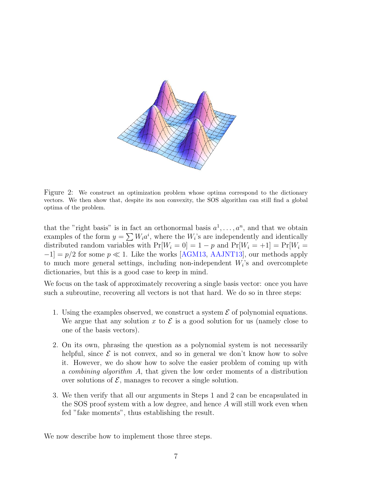

<span id="page-6-0"></span>Figure 2: We construct an optimization problem whose optima correspond to the dictionary vectors. We then show that, despite its non convexity, the SOS algorithm can still find a global optima of the problem.

that the "right basis" is in fact an orthonormal basis  $a^1, \ldots, a^n$ , and that we obtain examples of the form  $y = \sum W_i a^i$ , where the  $W_i$ 's are independently and identically distributed random variables with  $Pr[W_i = 0] = 1 - p$  and  $Pr[W_i = +1] = Pr[W_i =$  $-1$ ] =  $p/2$  for some  $p \ll 1$ . Like the works [\[AGM13,](http://arxiv.org/abs/1308.6273) [AAJNT13\]](http://arxiv.org/abs/1310.7991), our methods apply to much more general settings, including non-independent  $W_i$ 's and overcomplete dictionaries, but this is a good case to keep in mind.

We focus on the task of approximately recovering a single basis vector: once you have such a subroutine, recovering all vectors is not that hard. We do so in three steps:

- 1. Using the examples observed, we construct a system  $\mathcal E$  of polynomial equations. We argue that any solution x to  $\mathcal E$  is a good solution for us (namely close to one of the basis vectors).
- 2. On its own, phrasing the question as a polynomial system is not necessarily helpful, since  $\mathcal E$  is not convex, and so in general we don't know how to solve it. However, we do show how to solve the easier problem of coming up with a combining algorithm A, that given the low order moments of a distribution over solutions of  $\mathcal{E}$ , manages to recover a single solution.
- 3. We then verify that all our arguments in Steps 1 and 2 can be encapsulated in the SOS proof system with a low degree, and hence A will still work even when fed "fake moments", thus establishing the result.

We now describe how to implement those three steps.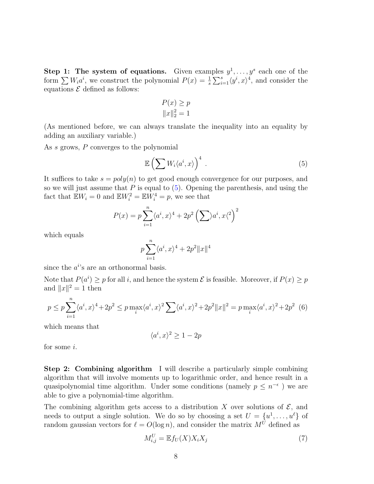Step 1: The system of equations. Given examples  $y^1, \ldots, y^s$  each one of the form  $\sum W_i a^i$ , we construct the polynomial  $P(x) = \frac{1}{s} \sum_{i=1}^s \langle y^i, x \rangle^4$ , and consider the equations  $\mathcal E$  defined as follows:

$$
P(x) \ge p
$$

$$
||x||_2^2 = 1
$$

(As mentioned before, we can always translate the inequality into an equality by adding an auxiliary variable.)

As s grows, P converges to the polynomial

<span id="page-7-0"></span>
$$
\mathbb{E}\left(\sum W_i\langle a^i,x\rangle\right)^4\,. \tag{5}
$$

It suffices to take  $s = poly(n)$  to get good enough convergence for our purposes, and so we will just assume that  $P$  is equal to  $(5)$ . Opening the parenthesis, and using the fact that  $\mathbb{E}W_i = 0$  and  $\mathbb{E}W_i^2 = \mathbb{E}W_i^4 = p$ , we see that

$$
P(x) = p \sum_{i=1}^{n} \langle a^i, x \rangle^4 + 2p^2 \left(\sum \rangle a^i, x \langle x \rangle^2\right)^2
$$

which equals

<span id="page-7-2"></span>
$$
p \sum_{i=1}^{n} \langle a^i, x \rangle^4 + 2p^2 ||x||^4
$$

 $\overline{n}$ 

since the  $a^{i}$ 's are an orthonormal basis.

Note that  $P(a^i) \geq p$  for all i, and hence the system  $\mathcal E$  is feasible. Moreover, if  $P(x) \geq p$ and  $||x||^2 = 1$  then

$$
p \le p \sum_{i=1}^{n} \langle a^i, x \rangle^4 + 2p^2 \le p \max_i \langle a^i, x \rangle^2 \sum_i \langle a^i, x \rangle^2 + 2p^2 ||x||^2 = p \max_i \langle a^i, x \rangle^2 + 2p^2 \tag{6}
$$

which means that

$$
\langle a^i, x \rangle^2 \ge 1 - 2p
$$

for some i.

Step 2: Combining algorithm I will describe a particularly simple combining algorithm that will involve moments up to logarithmic order, and hence result in a quasipolynomial time algorithm. Under some conditions (namely  $p \leq n^{-\epsilon}$ ) we are able to give a polynomial-time algorithm.

The combining algorithm gets access to a distribution X over solutions of  $\mathcal{E}$ , and needs to output a single solution. We do so by choosing a set  $U = \{u^1, \ldots, u^{\ell}\}\$  of random gaussian vectors for  $\ell = O(\log n)$ , and consider the matrix  $M^{\tilde{U}}$  defined as

<span id="page-7-1"></span>
$$
M_{i,j}^U = \mathbb{E} f_U(X) X_i X_j \tag{7}
$$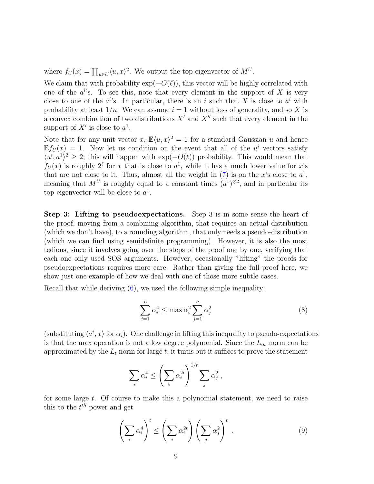where  $f_U(x) = \prod_{u \in U} \langle u, x \rangle^2$ . We output the top eigenvector of  $M^U$ .

We claim that with probability  $\exp(-O(\ell))$ , this vector will be highly correlated with one of the  $a^{i}$ 's. To see this, note that every element in the support of X is very close to one of the  $a^{i}$ 's. In particular, there is an i such that X is close to  $a^{i}$  with probability at least  $1/n$ . We can assume  $i = 1$  without loss of generality, and so X is a convex combination of two distributions  $X'$  and  $X''$  such that every element in the support of X' is close to  $a^1$ .

Note that for any unit vector x,  $\mathbb{E}\langle u, x \rangle^2 = 1$  for a standard Gaussian u and hence  $\mathbb{E} f_U(x) = 1$ . Now let us condition on the event that all of the u<sup>i</sup> vectors satisfy  $\langle u^i, a^1 \rangle^2 \geq 2$ ; this will happen with exp( $-O(\ell)$ ) probability. This would mean that  $f_U(x)$  is roughly  $2^{\ell}$  for x that is close to  $a^1$ , while it has a much lower value for x's that are not close to it. Thus, almost all the weight in [\(7\)](#page-7-1) is on the x's close to  $a^1$ , meaning that  $M^U$  is roughly equal to a constant times  $(a^1)^{\otimes 2}$ , and in particular its top eigenvector will be close to  $a^1$ .

Step 3: Lifting to pseudoexpectations. Step 3 is in some sense the heart of the proof, moving from a combining algorithm, that requires an actual distribution (which we don't have), to a rounding algorithm, that only needs a pseudo-distribution (which we can find using semidefinite programming). However, it is also the most tedious, since it involves going over the steps of the proof one by one, verifying that each one only used SOS arguments. However, occasionally "lifting" the proofs for pseudoexpectations requires more care. Rather than giving the full proof here, we show just one example of how we deal with one of those more subtle cases.

Recall that while deriving [\(6\)](#page-7-2), we used the following simple inequality:

$$
\sum_{i=1}^{n} \alpha_i^4 \le \max \alpha_i^2 \sum_{j=1}^{n} \alpha_j^2 \tag{8}
$$

(substituting  $\langle a^i, x \rangle$  for  $\alpha_i$ ). One challenge in lifting this inequality to pseudo-expectations is that the max operation is not a low degree polynomial. Since the  $L_{\infty}$  norm can be approximated by the  $L_t$  norm for large t, it turns out it suffices to prove the statement

$$
\sum_i \alpha_i^4 \le \left(\sum_i \alpha_i^{2t}\right)^{1/t} \sum_j \alpha_j^2 ,
$$

for some large  $t$ . Of course to make this a polynomial statement, we need to raise this to the  $t^{th}$  power and get

<span id="page-8-0"></span>
$$
\left(\sum_{i} \alpha_i^4\right)^t \le \left(\sum_{i} \alpha_i^{2t}\right) \left(\sum_{j} \alpha_j^2\right)^t . \tag{9}
$$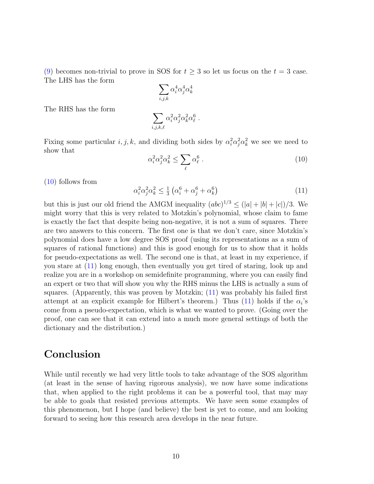[\(9\)](#page-8-0) becomes non-trivial to prove in SOS for  $t \geq 3$  so let us focus on the  $t = 3$  case. The LHS has the form

$$
\sum_{i,j,k} \alpha_i^4 \alpha_j^4 \alpha_k^4
$$

The RHS has the form

$$
\sum_{i,j,k,\ell} \alpha_i^2 \alpha_j^2 \alpha_k^2 \alpha_\ell^6.
$$

<span id="page-9-0"></span>Fixing some particular  $i, j, k$ , and dividing both sides by  $\alpha_i^2 \alpha_j^2 \alpha_k^2$  we see we need to show that

$$
\alpha_i^2 \alpha_j^2 \alpha_k^2 \le \sum_{\ell} \alpha_\ell^6 \,. \tag{10}
$$

[\(10\)](#page-9-0) follows from

<span id="page-9-1"></span>
$$
\alpha_i^2 \alpha_j^2 \alpha_k^2 \le \frac{1}{3} \left( \alpha_i^6 + \alpha_j^6 + \alpha_k^6 \right) \tag{11}
$$

but this is just our old friend the AMGM inequality  $(abc)^{1/3} \leq (|a|+|b|+|c|)/3$ . We might worry that this is very related to Motzkin's polynomial, whose claim to fame is exactly the fact that despite being non-negative, it is not a sum of squares. There are two answers to this concern. The first one is that we don't care, since Motzkin's polynomial does have a low degree SOS proof (using its representations as a sum of squares of rational functions) and this is good enough for us to show that it holds for pseudo-expectations as well. The second one is that, at least in my experience, if you stare at [\(11\)](#page-9-1) long enough, then eventually you get tired of staring, look up and realize you are in a workshop on semidefinite programming, where you can easily find an expert or two that will show you why the RHS minus the LHS is actually a sum of squares. (Apparently, this was proven by Motzkin; [\(11\)](#page-9-1) was probably his failed first attempt at an explicit example for Hilbert's theorem.) Thus [\(11\)](#page-9-1) holds if the  $\alpha_i$ 's come from a pseudo-expectation, which is what we wanted to prove. (Going over the proof, one can see that it can extend into a much more general settings of both the dictionary and the distribution.)

### Conclusion

While until recently we had very little tools to take advantage of the SOS algorithm (at least in the sense of having rigorous analysis), we now have some indications that, when applied to the right problems it can be a powerful tool, that may may be able to goals that resisted previous attempts. We have seen some examples of this phenomenon, but I hope (and believe) the best is yet to come, and am looking forward to seeing how this research area develops in the near future.